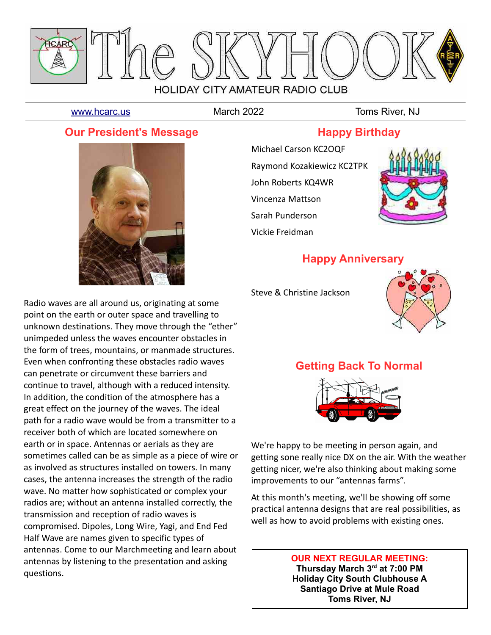

[www.hcarc.us](http://www.hcarc.us/) March 2022 Toms River, NJ

#### **Our President's Message**



Radio waves are all around us, originating at some point on the earth or outer space and travelling to unknown destinations. They move through the "ether" unimpeded unless the waves encounter obstacles in the form of trees, mountains, or manmade structures. Even when confronting these obstacles radio waves can penetrate or circumvent these barriers and continue to travel, although with a reduced intensity. In addition, the condition of the atmosphere has a great effect on the journey of the waves. The ideal path for a radio wave would be from a transmitter to a receiver both of which are located somewhere on earth or in space. Antennas or aerials as they are sometimes called can be as simple as a piece of wire or as involved as structures installed on towers. In many cases, the antenna increases the strength of the radio wave. No matter how sophisticated or complex your radios are; without an antenna installed correctly, the transmission and reception of radio waves is compromised. Dipoles, Long Wire, Yagi, and End Fed Half Wave are names given to specific types of antennas. Come to our Marchmeeting and learn about antennas by listening to the presentation and asking questions.

## **Happy Birthday**

Michael Carson KC2OQF Raymond Kozakiewicz KC2TPK John Roberts KQ4WR Vincenza Mattson Sarah Punderson Vickie Freidman



## **Happy Anniversary**

Steve & Christine Jackson



# **Getting Back To Normal**



We're happy to be meeting in person again, and getting sone really nice DX on the air. With the weather getting nicer, we're also thinking about making some improvements to our "antennas farms".

At this month's meeting, we'll be showing off some practical antenna designs that are real possibilities, as well as how to avoid problems with existing ones.

#### **OUR NEXT REGULAR MEETING: Thursday March 3rd at 7:00 PM Holiday City South Clubhouse A Santiago Drive at Mule Road Toms River, NJ**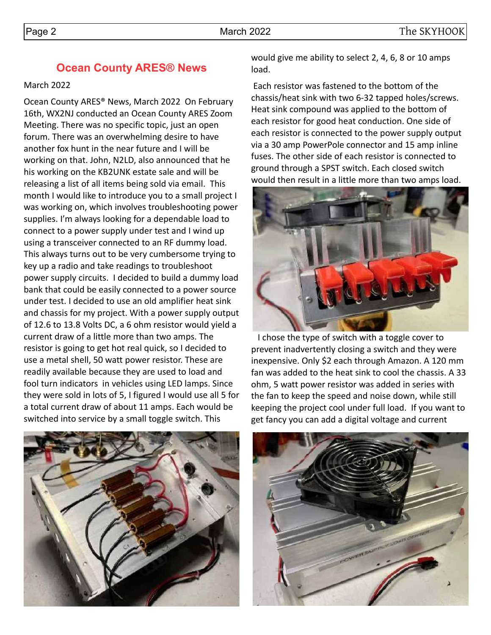#### **Ocean County ARES® News**

#### March 2022

Ocean County ARES® News, March 2022 On February 16th, WX2NJ conducted an Ocean County ARES Zoom Meeting. There was no specific topic, just an open forum. There was an overwhelming desire to have another fox hunt in the near future and I will be working on that. John, N2LD, also announced that he his working on the KB2UNK estate sale and will be releasing a list of all items being sold via email. This month I would like to introduce you to a small project I was working on, which involves troubleshooting power supplies. I'm always looking for a dependable load to connect to a power supply under test and I wind up using a transceiver connected to an RF dummy load. This always turns out to be very cumbersome trying to key up a radio and take readings to troubleshoot power supply circuits. I decided to build a dummy load bank that could be easily connected to a power source under test. I decided to use an old amplifier heat sink and chassis for my project. With a power supply output of 12.6 to 13.8 Volts DC, a 6 ohm resistor would yield a current draw of a little more than two amps. The resistor is going to get hot real quick, so I decided to use a metal shell, 50 watt power resistor. These are readily available because they are used to load and fool turn indicators in vehicles using LED lamps. Since they were sold in lots of 5, I figured I would use all 5 for a total current draw of about 11 amps. Each would be switched into service by a small toggle switch. This

would give me ability to select 2, 4, 6, 8 or 10 amps load.

 Each resistor was fastened to the bottom of the chassis/heat sink with two 6-32 tapped holes/screws. Heat sink compound was applied to the bottom of each resistor for good heat conduction. One side of each resistor is connected to the power supply output via a 30 amp PowerPole connector and 15 amp inline fuses. The other side of each resistor is connected to ground through a SPST switch. Each closed switch would then result in a little more than two amps load.



 I chose the type of switch with a toggle cover to prevent inadvertently closing a switch and they were inexpensive. Only \$2 each through Amazon. A 120 mm fan was added to the heat sink to cool the chassis. A 33 ohm, 5 watt power resistor was added in series with the fan to keep the speed and noise down, while still keeping the project cool under full load. If you want to get fancy you can add a digital voltage and current



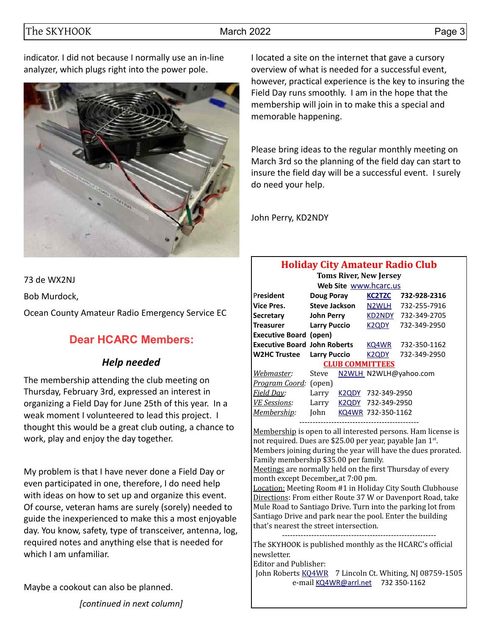#### The SKYHOOK March 2022 Page 3

indicator. I did not because I normally use an in-line analyzer, which plugs right into the power pole.



I located a site on the internet that gave a cursory overview of what is needed for a successful event, however, practical experience is the key to insuring the Field Day runs smoothly. I am in the hope that the membership will join in to make this a special and memorable happening.

Please bring ideas to the regular monthly meeting on March 3rd so the planning of the field day can start to insure the field day will be a successful event. I surely do need your help.

John Perry, KD2NDY

73 de WX2NJ

Bob Murdock,

Ocean County Amateur Radio Emergency Service EC

#### **Dear HCARC Members:**

#### *Help needed*

The membership attending the club meeting on Thursday, February 3rd, expressed an interest in organizing a Field Day for June 25th of this year. In a weak moment I volunteered to lead this project. I thought this would be a great club outing, a chance to work, play and enjoy the day together.

My problem is that I have never done a Field Day or even participated in one, therefore, I do need help with ideas on how to set up and organize this event. Of course, veteran hams are surely (sorely) needed to guide the inexperienced to make this a most enjoyable day. You know, safety, type of transceiver, antenna, log, required notes and anything else that is needed for which I am unfamiliar.

Maybe a cookout can also be planned.

*[continued in next column]*

# **Holiday City Amateur Radio Club**

| <b>Toms River, New Jersey</b>       |                      |       |                        |                       |  |  |  |  |  |
|-------------------------------------|----------------------|-------|------------------------|-----------------------|--|--|--|--|--|
|                                     |                      |       | Web Site www.hcarc.us  |                       |  |  |  |  |  |
| President                           | <b>Doug Poray</b>    |       | <b>KC2TZC</b>          | 732-928-2316          |  |  |  |  |  |
| <b>Vice Pres.</b>                   | <b>Steve Jackson</b> |       | N <sub>2</sub> WLH     | 732-255-7916          |  |  |  |  |  |
| <b>Secretary</b>                    | <b>John Perry</b>    |       | <b>KD2NDY</b>          | 732-349-2705          |  |  |  |  |  |
| <b>Treasurer</b>                    | <b>Larry Puccio</b>  |       | K <sub>2</sub> ODY     | 732-349-2950          |  |  |  |  |  |
| <b>Executive Board (open)</b>       |                      |       |                        |                       |  |  |  |  |  |
| <b>Executive Board John Roberts</b> |                      |       | KQ4WR                  | 732-350-1162          |  |  |  |  |  |
| <b>W2HC Trustee</b>                 | <b>Larry Puccio</b>  |       | K2QDY                  | 732-349-2950          |  |  |  |  |  |
|                                     |                      |       | <b>CLUB COMMITTEES</b> |                       |  |  |  |  |  |
| Webmaster:                          | Steve                |       |                        | N2WLH N2WLH@yahoo.com |  |  |  |  |  |
| <i>Program Coord:</i> (open)        |                      |       |                        |                       |  |  |  |  |  |
| <b>Field Day:</b>                   | Larry                | K2QDY | 732-349-2950           |                       |  |  |  |  |  |
| <b>VE Sessions:</b>                 | Larry                | K2ODY | 732-349-2950           |                       |  |  |  |  |  |
| Membership:                         | John                 | KQ4WR | 732-350-1162           |                       |  |  |  |  |  |

--------------------------------------------- Membership is open to all interested persons. Ham license is not required. Dues are \$25.00 per year, payable Jan 1st. Members joining during the year will have the dues prorated. Family membership \$35.00 per family.

Meetings are normally held on the first Thursday of every month except December,,at 7:00 pm.

Location: Meeting Room #1 in Holiday City South Clubhouse Directions: From either Route 37 W or Davenport Road, take Mule Road to Santiago Drive. Turn into the parking lot from Santiago Drive and park near the pool. Enter the building that's nearest the street intersection.

---------------------------------------------------------- The SKYHOOK is published monthly as the HCARC's official newsletter.

Editor and Publisher:

John Roberts [KQ4WR](mailto:kq4wr@arrl.net) 7 Lincoln Ct. Whiting, NJ 08759-1505 e-mail [KQ4WR@arrl.net](mailto:KQ4WR@arrl.net) 732 350-1162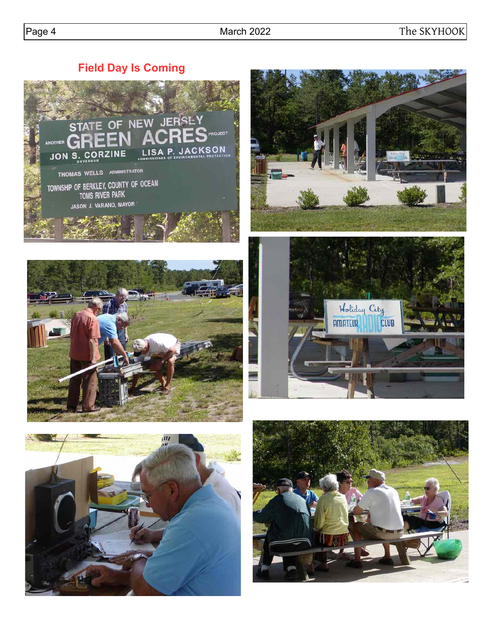**Field Day Is Coming**











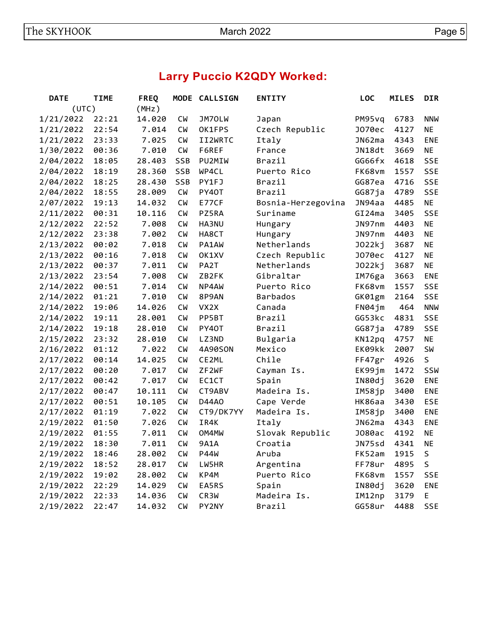# **Larry Puccio K2QDY Worked:**

| <b>DATE</b>    | <b>TIME</b> | <b>FREQ</b> | <b>MODE</b> | <b>CALLSIGN</b> | <b>ENTITY</b>      | <b>LOC</b>    | <b>MILES</b> | <b>DIR</b> |
|----------------|-------------|-------------|-------------|-----------------|--------------------|---------------|--------------|------------|
| (UTC)<br>(MHz) |             |             |             |                 |                    |               |              |            |
| 1/21/2022      | 22:21       | 14.020      | <b>CW</b>   | JM70LW          | Japan              | PM95vq        | 6783         | <b>NNW</b> |
| 1/21/2022      | 22:54       | 7.014       | <b>CW</b>   | OK1FPS          | Czech Republic     | J070ec        | 4127         | <b>NE</b>  |
| 1/21/2022      | 23:33       | 7.025       | <b>CW</b>   | II2WRTC         | Italy              | JN62ma        | 4343         | <b>ENE</b> |
| 1/30/2022      | 00:36       | 7.010       | <b>CW</b>   | F6REF           | France             | JN18dt        | 3669         | <b>NE</b>  |
| 2/04/2022      | 18:05       | 28.403      | SSB         | PU2MIW          | Brazil             | GG66fx        | 4618         | <b>SSE</b> |
| 2/04/2022      | 18:19       | 28.360      | SSB         | WP4CL           | Puerto Rico        | FK68vm        | 1557         | <b>SSE</b> |
| 2/04/2022      | 18:25       | 28.430      | SSB         | PY1FJ           | Brazil             | GG87ea        | 4716         | <b>SSE</b> |
| 2/04/2022      | 18:55       | 28.009      | <b>CW</b>   | PY40T           | Brazil             | GG87ja        | 4789         | <b>SSE</b> |
| 2/07/2022      | 19:13       | 14.032      | <b>CM</b>   | E77CF           | Bosnia-Herzegovina | JN94aa        | 4485         | <b>NE</b>  |
| 2/11/2022      | 00:31       | 10.116      | <b>CW</b>   | PZ5RA           | Suriname           | GI24ma        | 3405         | <b>SSE</b> |
| 2/12/2022      | 22:52       | 7.008       | СW          | HA3NU           | Hungary            | JN97nm        | 4403         | <b>NE</b>  |
| 2/12/2022      | 23:38       | 7.002       | <b>CW</b>   | HA8CT           | Hungary            | JN97nm        | 4403         | <b>NE</b>  |
| 2/13/2022      | 00:02       | 7.018       | <b>CW</b>   | PA1AW           | Netherlands        | J022kj        | 3687         | <b>NE</b>  |
| 2/13/2022      | 00:16       | 7.018       | <b>CW</b>   | OK1XV           | Czech Republic     | J070ec        | 4127         | <b>NE</b>  |
| 2/13/2022      | 00:37       | 7.011       | <b>CW</b>   | PA2T            | Netherlands        | J022kj        | 3687         | <b>NE</b>  |
| 2/13/2022      | 23:54       | 7.008       | <b>CW</b>   | ZB2FK           | Gibraltar          | IM76ga        | 3663         | <b>ENE</b> |
| 2/14/2022      | 00:51       | 7.014       | <b>CW</b>   | NP4AW           | Puerto Rico        | FK68vm        | 1557         | <b>SSE</b> |
| 2/14/2022      | 01:21       | 7.010       | <b>CM</b>   | 8P9AN           | <b>Barbados</b>    | GK01gm        | 2164         | <b>SSE</b> |
| 2/14/2022      | 19:06       | 14.026      | <b>CM</b>   | VX2X            | Canada             | FN04jm        | 464          | <b>NNW</b> |
| 2/14/2022      | 19:11       | 28.001      | <b>CW</b>   | PP5BT           | Brazil             | GG53kc        | 4831         | <b>SSE</b> |
| 2/14/2022      | 19:18       | 28.010      | <b>CW</b>   | PY40T           | Brazil             | GG87ja        | 4789         | <b>SSE</b> |
| 2/15/2022      | 23:32       | 28.010      | <b>CW</b>   | LZ3ND           | Bulgaria           | KN12pq        | 4757         | <b>NE</b>  |
| 2/16/2022      | 01:12       | 7.022       | <b>CW</b>   | 4A90SON         | Mexico             | EK09kk        | 2007         | SW         |
| 2/17/2022      | 00:14       | 14.025      | <b>CW</b>   | CE2ML           | Chile              | FF47gr        | 4926         | S          |
| 2/17/2022      | 00:20       | 7.017       | <b>CW</b>   | ZF2WF           | Cayman Is.         | EK99jm        | 1472         | SSW        |
| 2/17/2022      | 00:42       | 7.017       | <b>CM</b>   | EC1CT           | Spain              | IN80dj        | 3620         | <b>ENE</b> |
| 2/17/2022      | 00:47       | 10.111      | <b>CW</b>   | CT9ABV          | Madeira Is.        | IM58jp        | 3400         | ENE        |
| 2/17/2022      | 00:51       | 10.105      | <b>CW</b>   | D44A0           | Cape Verde         | <b>HK86aa</b> | 3430         | <b>ESE</b> |
| 2/17/2022      | 01:19       | 7.022       | <b>CW</b>   | CT9/DK7YY       | Madeira Is.        | IM58jp        | 3400         | <b>ENE</b> |
| 2/19/2022      | 01:50       | 7.026       | <b>CW</b>   | IR4K            | Italy              | JN62ma        | 4343         | <b>ENE</b> |
| 2/19/2022      | 01:55       | 7.011       | <b>CW</b>   | OM4MW           | Slovak Republic    | J080ac        | 4192         | <b>NE</b>  |
| 2/19/2022      | 18:30       | 7.011       | <b>CW</b>   | 9A1A            | Croatia            | JN75sd        | 4341         | <b>NE</b>  |
| 2/19/2022      | 18:46       | 28.002      | <b>CW</b>   | <b>P44W</b>     | Aruba              | FK52am        | 1915         | $\sf S$    |
| 2/19/2022      | 18:52       | 28.017      | <b>CW</b>   | LW5HR           | Argentina          | FF78ur        | 4895         | S          |
| 2/19/2022      | 19:02       | 28.002      | <b>CW</b>   | KP4M            | Puerto Rico        | FK68vm        | 1557         | <b>SSE</b> |
| 2/19/2022      | 22:29       | 14.029      | <b>CW</b>   | EA5RS           | Spain              | IN80dj        | 3620         | <b>ENE</b> |
| 2/19/2022      | 22:33       | 14.036      | <b>CW</b>   | CR3W            | Madeira Is.        | IM12np        | 3179         | E          |
| 2/19/2022      | 22:47       | 14.032      | <b>CW</b>   | PY2NY           | Brazil             | GG58ur        | 4488         | <b>SSE</b> |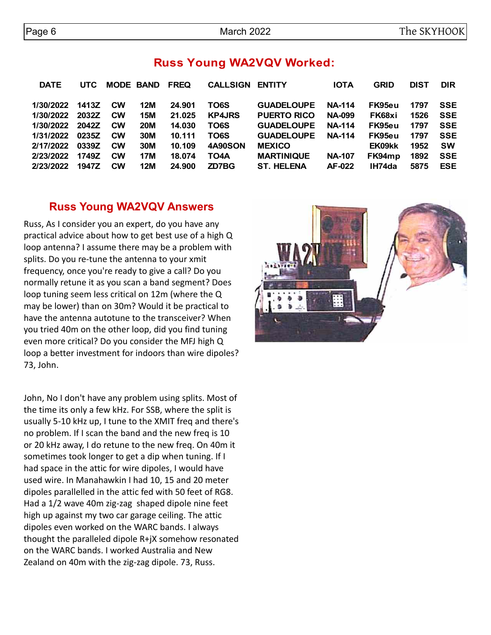## **Russ Young WA2VQV Worked:**

| <b>DATE</b>     | <b>UTC</b> | <b>MODE BAND FREQ</b> |            |        | <b>CALLSIGN ENTITY</b> |                    | <b>IOTA</b>   | <b>GRID</b> | <b>DIST</b> | <b>DIR</b> |
|-----------------|------------|-----------------------|------------|--------|------------------------|--------------------|---------------|-------------|-------------|------------|
| 1/30/2022 1413Z |            | <b>CW</b>             | <b>12M</b> | 24.901 | TO6S                   | <b>GUADELOUPE</b>  | <b>NA-114</b> | FK95eu      | 1797        | <b>SSE</b> |
| 1/30/2022       | 2032Z      | <b>CW</b>             | <b>15M</b> | 21.025 | <b>KP4JRS</b>          | <b>PUERTO RICO</b> | <b>NA-099</b> | FK68xi      | 1526        | <b>SSE</b> |
| 1/30/2022 2042Z |            | <b>CW</b>             | <b>20M</b> | 14.030 | TO6S                   | <b>GUADELOUPE</b>  | <b>NA-114</b> | FK95eu      | 1797        | <b>SSE</b> |
| 1/31/2022       | 0235Z      | <b>CW</b>             | 30M        | 10.111 | TO6S                   | <b>GUADELOUPE</b>  | <b>NA-114</b> | FK95eu      | 1797        | <b>SSE</b> |
| 2/17/2022       | 0339Z      | <b>CW</b>             | <b>30M</b> | 10.109 | <b>4A90SON</b>         | <b>MEXICO</b>      |               | EK09kk      | 1952        | <b>SW</b>  |
| 2/23/2022       | 1749Z      | <b>CW</b>             | 17M        | 18.074 | TO4A                   | <b>MARTINIQUE</b>  | <b>NA-107</b> | FK94mp      | 1892        | <b>SSE</b> |
| 2/23/2022       | 1947Z      | <b>CW</b>             | <b>12M</b> | 24.900 | ZD7BG                  | <b>ST. HELENA</b>  | AF-022        | IH74da      | 5875        | <b>ESE</b> |

#### **Russ Young WA2VQV Answers**

Russ, As I consider you an expert, do you have any practical advice about how to get best use of a high Q loop antenna? I assume there may be a problem with splits. Do you re-tune the antenna to your xmit frequency, once you're ready to give a call? Do you normally retune it as you scan a band segment? Does loop tuning seem less critical on 12m (where the Q may be lower) than on 30m? Would it be practical to have the antenna autotune to the transceiver? When you tried 40m on the other loop, did you find tuning even more critical? Do you consider the MFJ high Q loop a better investment for indoors than wire dipoles? 73, John.

John, No I don't have any problem using splits. Most of the time its only a few kHz. For SSB, where the split is usually 5-10 kHz up, I tune to the XMIT freq and there's no problem. If I scan the band and the new freq is 10 or 20 kHz away, I do retune to the new freq. On 40m it sometimes took longer to get a dip when tuning. If I had space in the attic for wire dipoles, I would have used wire. In Manahawkin I had 10, 15 and 20 meter dipoles parallelled in the attic fed with 50 feet of RG8. Had a 1/2 wave 40m zig-zag shaped dipole nine feet high up against my two car garage ceiling. The attic dipoles even worked on the WARC bands. I always thought the paralleled dipole R+jX somehow resonated on the WARC bands. I worked Australia and New Zealand on 40m with the zig-zag dipole. 73, Russ.

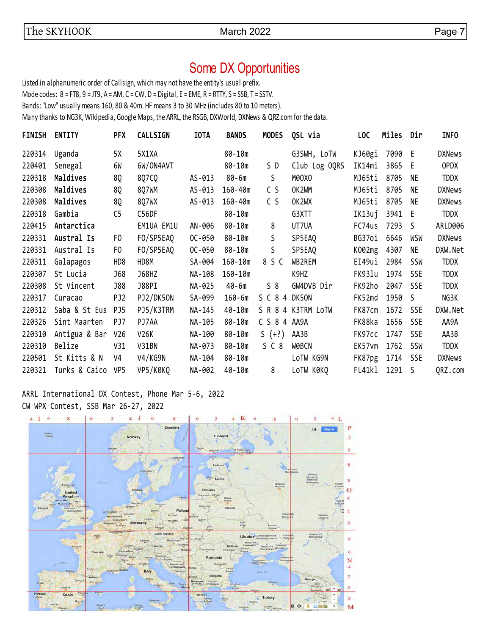# Some DX Opportunities

Listed in alphanumeric order of Callsign, which may not have the entity's usual prefix.

Mode codes: 8 = FT8, 9 = JT9, A = AM, C = CW, D = Digital, E = EME, R = RTTY, S = SSB, T = SSTV.

Bands: "Low" usually means 160, 80 & 40m. HF means 3 to 30 MHz (includes 80 to 10 meters).

Many thanks to NG3K, Wikipedia, Google Maps, the ARRL, the RSGB, DXWorld, DXNews & QRZ.com for the data.

| FINISH | <b>ENTITY</b>     | <b>PFX</b>      | CALLSIGN   | <b>IOTA</b> | <b>BANDS</b> | <b>MODES</b>  | QSL via            | <b>LOC</b> | Miles  | Dir        | <b>INFO</b>   |
|--------|-------------------|-----------------|------------|-------------|--------------|---------------|--------------------|------------|--------|------------|---------------|
| 220314 | Uganda            | 5X              | 5X1XA      |             | 80-10m       |               | G3SWH, LoTW        | KJ60gi     | 7090 E |            | <b>DXNews</b> |
| 220401 | Senegal           | 6W              | 6W/ON4AVT  |             | 80-10m       | S D           | Club Log OQRS      | IK14mi     | 3865   | E          | <b>OPDX</b>   |
| 220318 | Maldives          | 8Q              | 8Q7CQ      | AS-013      | 80-6m        | S             | M0OXO              | MJ65ti     | 8705   | NE         | <b>TDDX</b>   |
| 220308 | Maldives          | 8Q              | 807WM      | AS-013      | 160-40m      | C S           | OK2WM              | MJ65ti     | 8705   | NE         | <b>DXNews</b> |
| 220308 | Maldives          | 8Q              | 8Q7WX      | AS-013      | 160-40m      | C S           | OK2WX              | MJ65ti     | 8705   | NE         | <b>DXNews</b> |
| 220318 | Gambia            | C <sub>5</sub>  | C56DF      |             | 80-10m       |               | G3XTT              | IK13uj     | 3941 E |            | TDDX          |
| 220415 | Antarctica        |                 | EM1UA EM1U | AN-006      | 80-10m       | 8             | UT7UA              | FC74us     | 7293   | S.         | ARLD006       |
| 220331 | Austral Is        | F <sub>0</sub>  | FO/SP5EAQ  | $OC - 050$  | 80-10m       | S             | SP5EA0             | BG37oi     | 6646   | WSW        | <b>DXNews</b> |
| 220331 | Austral Is        | F0              | FO/SP5EAQ  | $OC - 050$  | 80-10m       | S             | SP5EAQ             | K002mg     | 4307   | NE         | DXW.Net       |
| 220311 | Galapagos         | HD <sub>8</sub> | HD8M       | SA-004      | $160 - 10m$  | 8 S C         | WB2REM             | EI49ui     | 2984   | SSW        | <b>TDDX</b>   |
| 220307 | St Lucia          | <b>J68</b>      | J68HZ      | NA-108      | $160 - 10m$  |               | K9HZ               | FK931u     | 1974   | <b>SSE</b> | <b>TDDX</b>   |
| 220308 | St Vincent        | <b>J88</b>      | J88PI      | NA-025      | 40-6m        | 58            | GW4DVB Dir         | FK92ho     | 2047   | <b>SSE</b> | <b>TDDX</b>   |
| 220317 | Curacao           | PJ <sub>2</sub> | PJ2/DK50N  | SA-099      | $160 - 6m$   | S C 8 4 DK50N |                    | FK52md     | 1950   | S.         | NG3K          |
| 220312 | Saba & St Eus     | PJ5             | PJ5/K3TRM  | NA-145      | 40-10m       |               | S R 8 4 K3TRM LOTW | FK87cm     | 1672   | <b>SSE</b> | DXW.Net       |
| 220326 | Sint Maarten      | PJ7             | PJ7AA      | NA-105      | 80-10m       | C S 8 4 AA9A  |                    | FK88ka     | 1656   | <b>SSE</b> | AA9A          |
| 220310 | Antigua & Bar     | V26             | V26K       | NA-100      | 80-10m       | $5 (+?)$      | AA3B               | FK97cc     | 1747   | <b>SSE</b> | AA3B          |
| 220310 | Belize            | V31             | V31BN      | NA-073      | 80-10m       | SC8           | <b>WOBCN</b>       | EK57vm     | 1762   | SSW        | <b>TDDX</b>   |
| 220501 | St Kitts & N      | V4              | V4/KG9N    | NA-104      | 80-10m       |               | LoTW KG9N          | FK87pg     | 1714   | SSE        | <b>DXNews</b> |
| 220321 | Turks & Caico VP5 |                 | VP5/K0KQ   | NA-002      | $40 - 10m$   | 8             | LoTW KØKQ          | FL41kl     | 1291   | S          | QRZ.com       |
|        |                   |                 |            |             |              |               |                    |            |        |            |               |

ARRL International DX Contest, Phone Mar 5-6, 2022 CW WPX Contest, SSB Mar 26-27, 2022